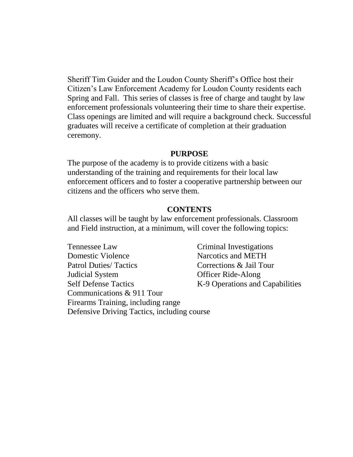Sheriff Tim Guider and the Loudon County Sheriff's Office host their Citizen's Law Enforcement Academy for Loudon County residents each Spring and Fall. This series of classes is free of charge and taught by law enforcement professionals volunteering their time to share their expertise. Class openings are limited and will require a background check. Successful graduates will receive a certificate of completion at their graduation ceremony.

## **PURPOSE**

The purpose of the academy is to provide citizens with a basic understanding of the training and requirements for their local law enforcement officers and to foster a cooperative partnership between our citizens and the officers who serve them.

## **CONTENTS**

All classes will be taught by law enforcement professionals. Classroom and Field instruction, at a minimum, will cover the following topics:

Tennessee Law Criminal Investigations Domestic Violence Narcotics and METH Patrol Duties/ Tactics Corrections & Jail Tour Judicial System Officer Ride-Along Self Defense Tactics K-9 Operations and Capabilities Communications & 911 Tour Firearms Training, including range Defensive Driving Tactics, including course